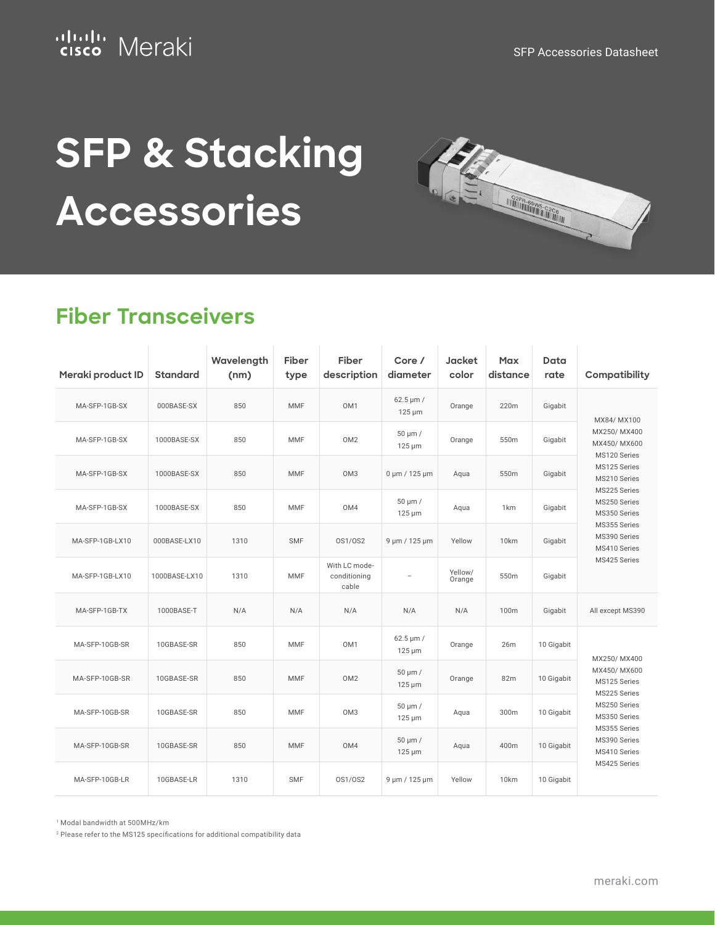## ululu Meraki

Williams Creek

# **SFP & Stacking Accessories**

#### **Fiber Transceivers**

| Meraki product ID | <b>Standard</b> | Wavelength<br>(nm) | Fiber<br>type | Fiber<br>description                   | Core /<br>diameter                         | <b>Jacket</b><br>color | Max<br>distance | Data<br>rate | Compatibility                                                                                                                                                                              |
|-------------------|-----------------|--------------------|---------------|----------------------------------------|--------------------------------------------|------------------------|-----------------|--------------|--------------------------------------------------------------------------------------------------------------------------------------------------------------------------------------------|
| MA-SFP-1GB-SX     | 000BASE-SX      | 850                | <b>MMF</b>    | OM1                                    | $62.5 \,\mathrm{\upmu m}$ /<br>$125 \mu m$ | Orange                 | 220m            | Gigabit      | MX84/ MX100                                                                                                                                                                                |
| MA-SFP-1GB-SX     | 1000BASE-SX     | 850                | <b>MMF</b>    | OM <sub>2</sub>                        | 50 µm /<br>$125 \mu m$                     | Orange                 | 550m            | Gigabit      | MX250/MX400<br>MX450/MX600<br>MS120 Series<br>MS125 Series<br>MS210 Series<br>MS225 Series<br>MS250 Series<br>MS350 Series<br>MS355 Series<br>MS390 Series<br>MS410 Series<br>MS425 Series |
| MA-SFP-1GB-SX     | 1000BASE-SX     | 850                | <b>MMF</b>    | OM <sub>3</sub>                        | $0 \mu m / 125 \mu m$                      | Aqua                   | 550m            | Gigabit      |                                                                                                                                                                                            |
| MA-SFP-1GB-SX     | 1000BASE-SX     | 850                | MMF           | OM4                                    | $50 \mu m /$<br>$125 \mu m$                | Aqua                   | 1 <sub>km</sub> | Gigabit      |                                                                                                                                                                                            |
| MA-SFP-1GB-LX10   | 000BASE-LX10    | 1310               | <b>SMF</b>    | 0S1/0S2                                | 9 µm / 125 µm                              | Yellow                 | 10km            | Gigabit      |                                                                                                                                                                                            |
| MA-SFP-1GB-LX10   | 1000BASE-LX10   | 1310               | <b>MMF</b>    | With LC mode-<br>conditioning<br>cable | $\overline{a}$                             | Yellow/<br>Orange      | 550m            | Gigabit      |                                                                                                                                                                                            |
| MA-SFP-1GB-TX     | 1000BASE-T      | N/A                | N/A           | N/A                                    | N/A                                        | N/A                    | 100m            | Gigabit      | All except MS390                                                                                                                                                                           |
| MA-SFP-10GB-SR    | 10GBASE-SR      | 850                | <b>MMF</b>    | OM <sub>1</sub>                        | $62.5 \,\mathrm{\upmu m}$ /<br>$125 \mu m$ | Orange                 | 26m             | 10 Gigabit   | MX250/MX400                                                                                                                                                                                |
| MA-SFP-10GB-SR    | 10GBASE-SR      | 850                | <b>MMF</b>    | OM <sub>2</sub>                        | $50 \mu m /$<br>$125 \mu m$                | Orange                 | 82m             | 10 Gigabit   | MX450/MX600<br>MS125 Series<br>MS225 Series<br>MS250 Series<br>MS350 Series                                                                                                                |
| MA-SFP-10GB-SR    | 10GBASE-SR      | 850                | <b>MMF</b>    | OM <sub>3</sub>                        | 50 µm /<br>$125 \mu m$                     | Aqua                   | 300m            | 10 Gigabit   |                                                                                                                                                                                            |
| MA-SFP-10GB-SR    | 10GBASE-SR      | 850                | <b>MMF</b>    | OM4                                    | 50 µm /<br>$125 \mu m$                     | Aqua                   | 400m            | 10 Gigabit   | MS355 Series<br>MS390 Series<br>MS410 Series                                                                                                                                               |
| MA-SFP-10GB-LR    | 10GBASE-LR      | 1310               | <b>SMF</b>    | 0S1/0S2                                | 9 µm / 125 µm                              | Yellow                 | 10km            | 10 Gigabit   | MS425 Series                                                                                                                                                                               |

<sup>1</sup> Modal bandwidth at 500MHz/km

<sup>2</sup> Please refer to the MS125 specifications for additional compatibility data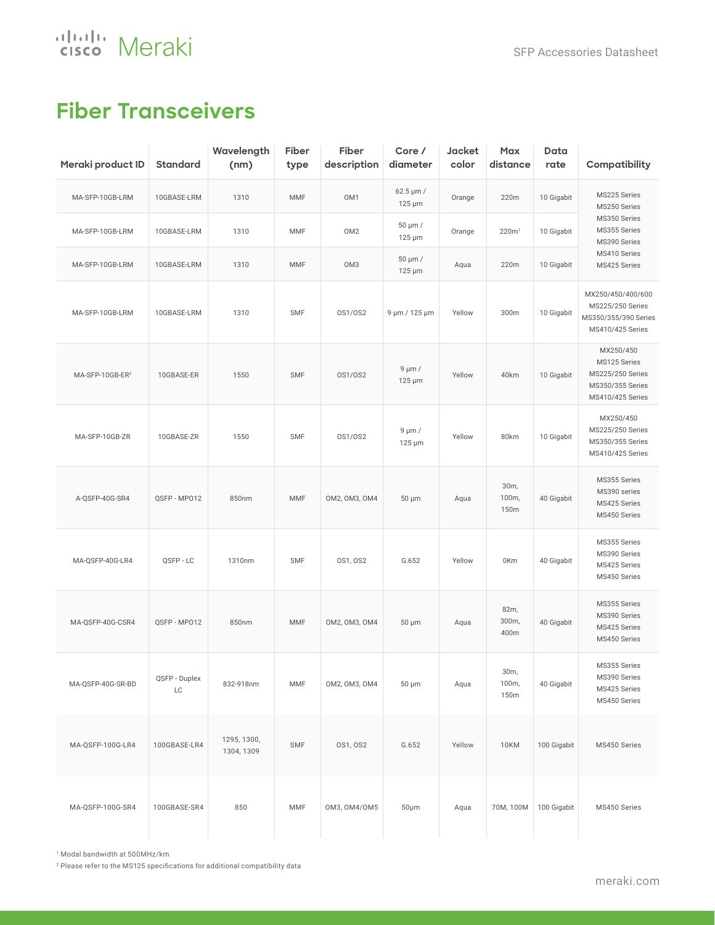aludu Meraki

#### **Fiber Transceivers**

| Meraki product ID           | <b>Standard</b>     | Wavelength<br>(nm)        | Fiber<br>type | Fiber<br>description | Core /<br>diameter                         | Jacket<br>color | Max<br>distance       | Data<br>rate | Compatibility                                                                         |
|-----------------------------|---------------------|---------------------------|---------------|----------------------|--------------------------------------------|-----------------|-----------------------|--------------|---------------------------------------------------------------------------------------|
| MA-SFP-10GB-LRM             | 10GBASE-LRM         | 1310                      | MMF           | OM1                  | $62.5 \,\mathrm{\upmu m}$ /<br>$125 \mu m$ | Orange          | 220m                  | 10 Gigabit   | MS225 Series<br>MS250 Series                                                          |
| MA-SFP-10GB-LRM             | 10GBASE-LRM         | 1310                      | <b>MMF</b>    | OM <sub>2</sub>      | 50 µm /<br>$125 \mu m$                     | Orange          | 220m <sup>1</sup>     | 10 Gigabit   | MS350 Series<br>MS355 Series<br>MS390 Series                                          |
| MA-SFP-10GB-LRM             | 10GBASE-LRM         | 1310                      | <b>MMF</b>    | OM <sub>3</sub>      | 50 µm /<br>$125 \mu m$                     | Aqua            | 220m                  | 10 Gigabit   | MS410 Series<br>MS425 Series                                                          |
| MA-SFP-10GB-LRM             | 10GBASE-LRM         | 1310                      | SMF           | 0S1/0S2              | 9 µm / 125 µm                              | Yellow          | 300m                  | 10 Gigabit   | MX250/450/400/600<br>MS225/250 Series<br>MS350/355/390 Series<br>MS410/425 Series     |
| MA-SFP-10GB-ER <sup>2</sup> | 10GBASE-ER          | 1550                      | <b>SMF</b>    | 0S1/0S2              | $9 \mu m /$<br>$125 \mu m$                 | Yellow          | 40km                  | 10 Gigabit   | MX250/450<br>MS125 Series<br>MS225/250 Series<br>MS350/355 Series<br>MS410/425 Series |
| MA-SFP-10GB-ZR              | 10GBASE-ZR          | 1550                      | <b>SMF</b>    | 0S1/0S2              | $9 \mu m /$<br>$125 \mu m$                 | Yellow          | 80km                  | 10 Gigabit   | MX250/450<br>MS225/250 Series<br>MS350/355 Series<br>MS410/425 Series                 |
| A-QSFP-40G-SR4              | QSFP - MP012        | 850nm                     | MMF           | OM2, OM3, OM4        | 50 µm                                      | Aqua            | 30m,<br>100m,<br>150m | 40 Gigabit   | MS355 Series<br>MS390 series<br>MS425 Series<br>MS450 Series                          |
| MA-QSFP-40G-LR4             | QSFP-LC             | 1310nm                    | <b>SMF</b>    | 0S1, 0S2             | G.652                                      | Yellow          | 0Km                   | 40 Gigabit   | MS355 Series<br>MS390 Series<br>MS425 Series<br>MS450 Series                          |
| MA-QSFP-40G-CSR4            | QSFP - MP012        | 850nm                     | MMF           | OM2, OM3, OM4        | 50 µm                                      | Aqua            | 82m,<br>300m,<br>400m | 40 Gigabit   | MS355 Series<br>MS390 Series<br>MS425 Series<br>MS450 Series                          |
| MA-QSFP-40G-SR-BD           | QSFP - Duplex<br>LC | 832-918nm                 | MMF           | OM2, OM3, OM4        | $50 \mu m$                                 | Aqua            | 30m,<br>100m,<br>150m | 40 Gigabit   | MS355 Series<br>MS390 Series<br>MS425 Series<br>MS450 Series                          |
| MA-QSFP-100G-LR4            | 100GBASE-LR4        | 1295, 1300,<br>1304, 1309 | SMF           | 0S1, 0S2             | G.652                                      | Yellow          | <b>10KM</b>           | 100 Gigabit  | MS450 Series                                                                          |
| MA-QSFP-100G-SR4            | 100GBASE-SR4        | 850                       | MMF           | OM3, OM4/OM5         | $50 \mu m$                                 | Aqua            | 70M, 100M             | 100 Gigabit  | MS450 Series                                                                          |

<sup>1</sup> Modal bandwidth at 500MHz/km

 $2$  Please refer to the MS125 specifications for additional compatibility data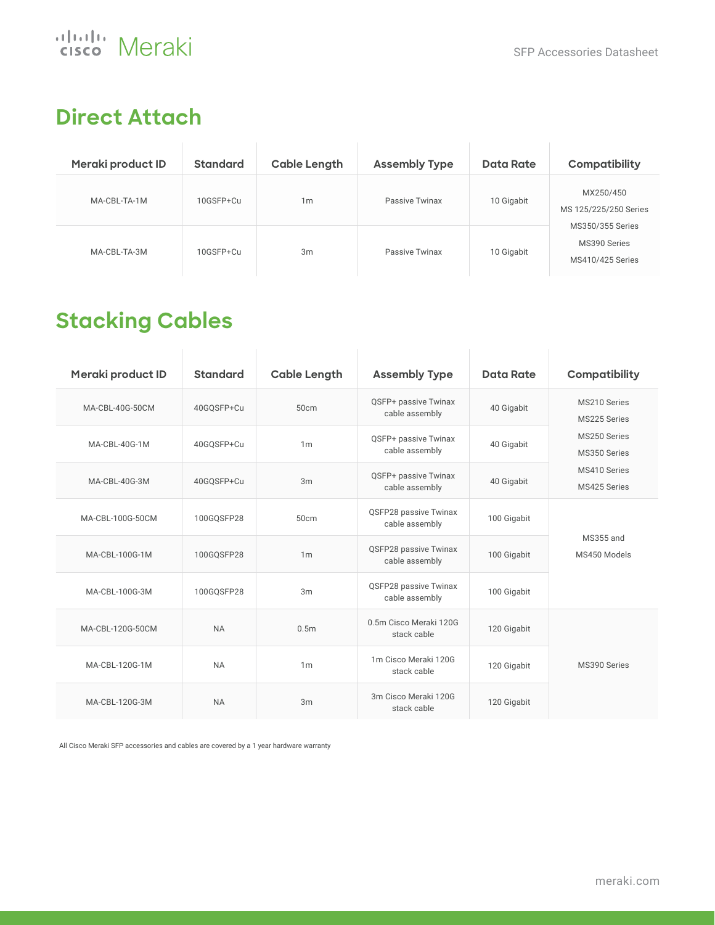#### **Direct Attach**

| Meraki product ID | <b>Standard</b> | <b>Cable Length</b> | <b>Assembly Type</b> | Data Rate  | Compatibility                                                                              |  |
|-------------------|-----------------|---------------------|----------------------|------------|--------------------------------------------------------------------------------------------|--|
| MA-CBL-TA-1M      | 10GSFP+Cu       | 1 <sub>m</sub>      | Passive Twinax       | 10 Gigabit | MX250/450<br>MS 125/225/250 Series<br>MS350/355 Series<br>MS390 Series<br>MS410/425 Series |  |
| MA-CBL-TA-3M      | 10GSFP+Cu       | 3m                  | Passive Twinax       | 10 Gigabit |                                                                                            |  |

#### **Stacking Cables**

| Meraki product ID | <b>Standard</b> | <b>Cable Length</b> | <b>Assembly Type</b>                    | Data Rate   | Compatibility                                                |  |
|-------------------|-----------------|---------------------|-----------------------------------------|-------------|--------------------------------------------------------------|--|
| MA-CBL-40G-50CM   | 40GQSFP+Cu      | 50cm                | QSFP+ passive Twinax<br>cable assembly  | 40 Gigabit  | MS210 Series<br>MS225 Series                                 |  |
| MA-CBL-40G-1M     | 40GQSFP+Cu      | 1 <sub>m</sub>      | QSFP+ passive Twinax<br>cable assembly  | 40 Gigabit  | MS250 Series<br>MS350 Series<br>MS410 Series<br>MS425 Series |  |
| MA-CBL-40G-3M     | 40GQSFP+Cu      | 3m                  | QSFP+ passive Twinax<br>cable assembly  | 40 Gigabit  |                                                              |  |
| MA-CBL-100G-50CM  | 100GOSFP28      | 50cm                | QSFP28 passive Twinax<br>cable assembly | 100 Gigabit |                                                              |  |
| MA-CBL-100G-1M    | 100GQSFP28      | 1 <sub>m</sub>      | QSFP28 passive Twinax<br>cable assembly | 100 Gigabit | MS355 and<br>MS450 Models                                    |  |
| MA-CBL-100G-3M    | 100GQSFP28      | 3m                  | QSFP28 passive Twinax<br>cable assembly | 100 Gigabit |                                                              |  |
| MA-CBL-120G-50CM  | <b>NA</b>       | 0.5 <sub>m</sub>    | 0.5m Cisco Meraki 120G<br>stack cable   | 120 Gigabit |                                                              |  |
| MA-CBL-120G-1M    | <b>NA</b>       | 1 <sub>m</sub>      | 1m Cisco Meraki 120G<br>stack cable     | 120 Gigabit | MS390 Series                                                 |  |
| MA-CBL-120G-3M    | <b>NA</b>       | 3m                  | 3m Cisco Meraki 120G<br>stack cable     | 120 Gigabit |                                                              |  |

All Cisco Meraki SFP accessories and cables are covered by a 1 year hardware warranty